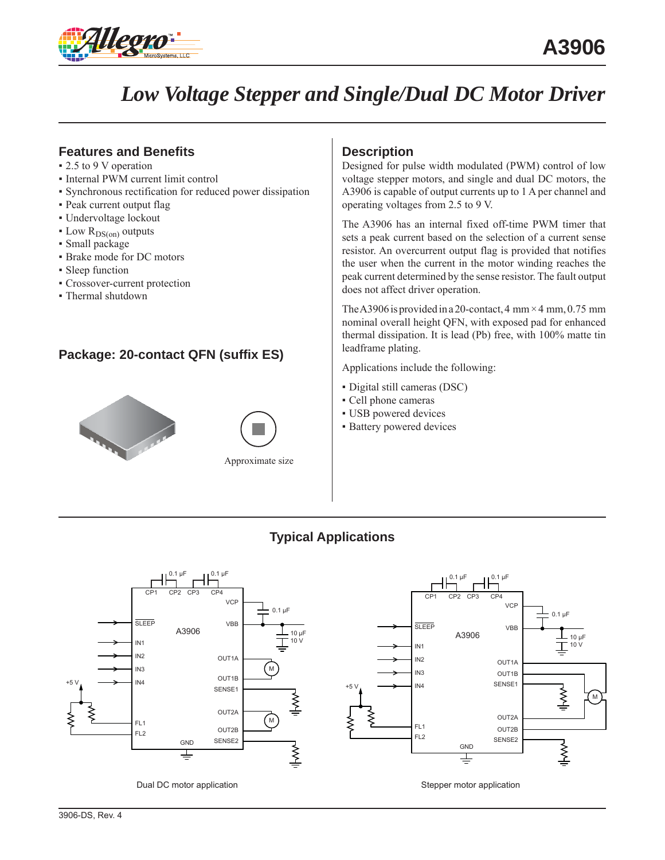

# *Low Voltage Stepper and Single/Dual DC Motor Driver*

## **Features and Benefits**

- 2.5 to 9 V operation
- Internal PWM current limit control
- Synchronous rectification for reduced power dissipation
- Peak current output flag
- Undervoltage lockout
- $\bullet$  Low  $R_{DS(on)}$  outputs
- Small package
- Brake mode for DC motors
- Sleep function
- Crossover-current protection
- Thermal shutdown

## **Package: 20-contact QFN (suffix ES)**



## **Description**

Designed for pulse width modulated (PWM) control of low voltage stepper motors, and single and dual DC motors, the A3906 is capable of output currents up to 1 A per channel and operating voltages from 2.5 to 9 V.

The A3906 has an internal fixed off-time PWM timer that sets a peak current based on the selection of a current sense resistor. An overcurrent output flag is provided that notifies the user when the current in the motor winding reaches the peak current determined by the sense resistor. The fault output does not affect driver operation.

The A3906 is provided in a 20-contact, 4 mm  $\times$  4 mm, 0.75 mm nominal overall height QFN, with exposed pad for enhanced thermal dissipation. It is lead (Pb) free, with 100% matte tin leadframe plating.

Applications include the following:

- Digital still cameras (DSC)
- Cell phone cameras
- USB powered devices
- **Battery powered devices**

## **Typical Applications**



Dual DC motor application

Stepper motor application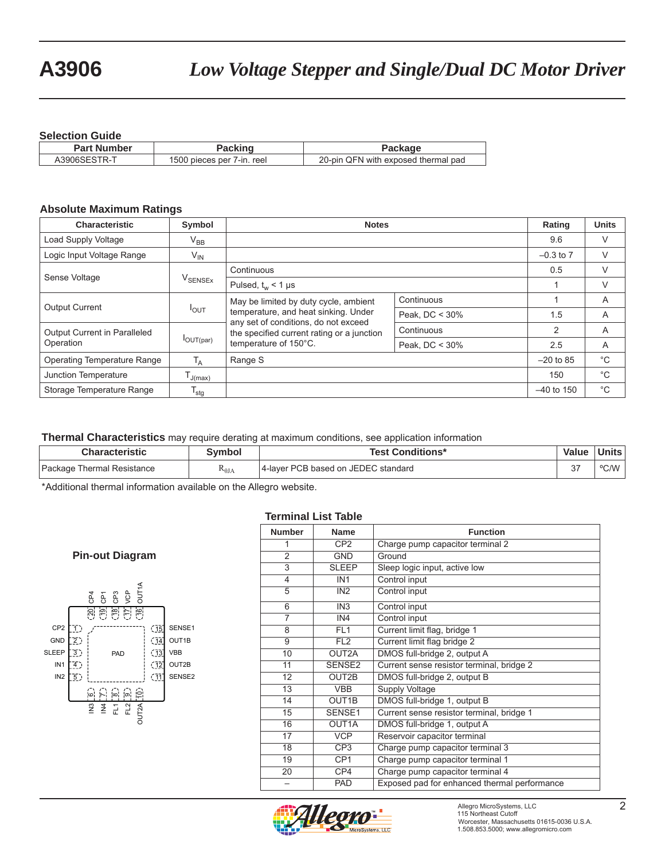#### **Selection Guide**

| ______________          |                            |                                     |
|-------------------------|----------------------------|-------------------------------------|
| <b>Part Number</b>      |                            | Package                             |
| TR-1<br>$\sim$ 3906SEST | 1500 pieces per 7-in. reel | 20-pin QFN with exposed thermal pad |

#### **Absolute Maximum Ratings**

| <b>Characteristic</b>        | Symbol                         | <b>Notes</b>                                                                       | Rating         | <b>Units</b>  |             |
|------------------------------|--------------------------------|------------------------------------------------------------------------------------|----------------|---------------|-------------|
| Load Supply Voltage          | $V_{BB}$                       |                                                                                    |                | 9.6           | V           |
| Logic Input Voltage Range    | $V_{IN}$                       |                                                                                    |                | $-0.3$ to $7$ | V           |
| Sense Voltage                |                                | Continuous                                                                         | 0.5            | V             |             |
|                              | $\mathsf{V}_{\mathsf{SENSEx}}$ | Pulsed, $t_w$ < 1 µs                                                               |                | V             |             |
| <b>Output Current</b>        | $I_{OUT}$                      | May be limited by duty cycle, ambient                                              | Continuous     |               | A           |
|                              |                                | temperature, and heat sinking. Under                                               | Peak, DC < 30% | 1.5           | A           |
| Output Current in Paralleled |                                | any set of conditions, do not exceed<br>the specified current rating or a junction | Continuous     | 2             | A           |
| Operation                    | $I_{OUT(par)}$                 | temperature of 150°C.                                                              | Peak, DC < 30% | 2.5           | A           |
| Operating Temperature Range  | T <sub>A</sub>                 | Range S                                                                            |                | $-20$ to 85   | $^{\circ}C$ |
| Junction Temperature         | J(max)                         |                                                                                    |                | 150           | $^{\circ}C$ |
| Storage Temperature Range    | $\mathsf{T}_{\mathsf{stg}}$    |                                                                                    |                | $-40$ to 150  | $^{\circ}C$ |

#### **Thermal Characteristics** may require derating at maximum conditions, see application information

| <b>Characteristic</b>      | Svmbol          | <b>Test Conditions*</b>             | Value         | Units l |
|----------------------------|-----------------|-------------------------------------|---------------|---------|
| Package Thermal Resistance | $R_{\theta JA}$ | 4-laver PCB based on JEDEC standard | $\sim$<br>، ب | OCMM    |

\*Additional thermal information available on the Allegro website.

#### **Terminal List Table**

#### PAD  $(15$  $(14)$  $(13)$  $\overline{12}$  $\overline{11}$ 1 2 3 4 5 의 'u' | w' | 이 | 이 20 의 은 는 은 e<br>C<br>C<br>C<br>C<br>C<br>C<br>C<br>C<br>C IN3  $\frac{3}{4}$ FL1 FL2 OUT2A SENSE1 OUT1B VBB OUT2B SENSE2 CP2 GND SLEEP IN1 IN2 **Pin-out Diagram**

| <b>Number</b>   | <b>Name</b>     | <b>Function</b>                              |
|-----------------|-----------------|----------------------------------------------|
| 1               | CP <sub>2</sub> | Charge pump capacitor terminal 2             |
| $\overline{2}$  | <b>GND</b>      | Ground                                       |
| $\overline{3}$  | <b>SLEEP</b>    | Sleep logic input, active low                |
| $\overline{4}$  | IN <sub>1</sub> | Control input                                |
| 5               | IN <sub>2</sub> | Control input                                |
| 6               | IN3             | Control input                                |
| 7               | IN4             | Control input                                |
| 8               | FL <sub>1</sub> | Current limit flag, bridge 1                 |
| 9               | FL <sub>2</sub> | Current limit flag bridge 2                  |
| 10              | OUT2A           | DMOS full-bridge 2, output A                 |
| 11              | SENSE2          | Current sense resistor terminal, bridge 2    |
| 12              | OUT2B           | DMOS full-bridge 2, output B                 |
| 13              | <b>VBB</b>      | Supply Voltage                               |
| 14              | OUT1B           | DMOS full-bridge 1, output B                 |
| 15              | SENSE1          | Current sense resistor terminal, bridge 1    |
| $\overline{16}$ | OUT1A           | DMOS full-bridge 1, output A                 |
| 17              | <b>VCP</b>      | Reservoir capacitor terminal                 |
| 18              | CP <sub>3</sub> | Charge pump capacitor terminal 3             |
| $\overline{19}$ | CP <sub>1</sub> | Charge pump capacitor terminal 1             |
| 20              | CP4             | Charge pump capacitor terminal 4             |
| —               | <b>PAD</b>      | Exposed pad for enhanced thermal performance |
|                 |                 |                                              |

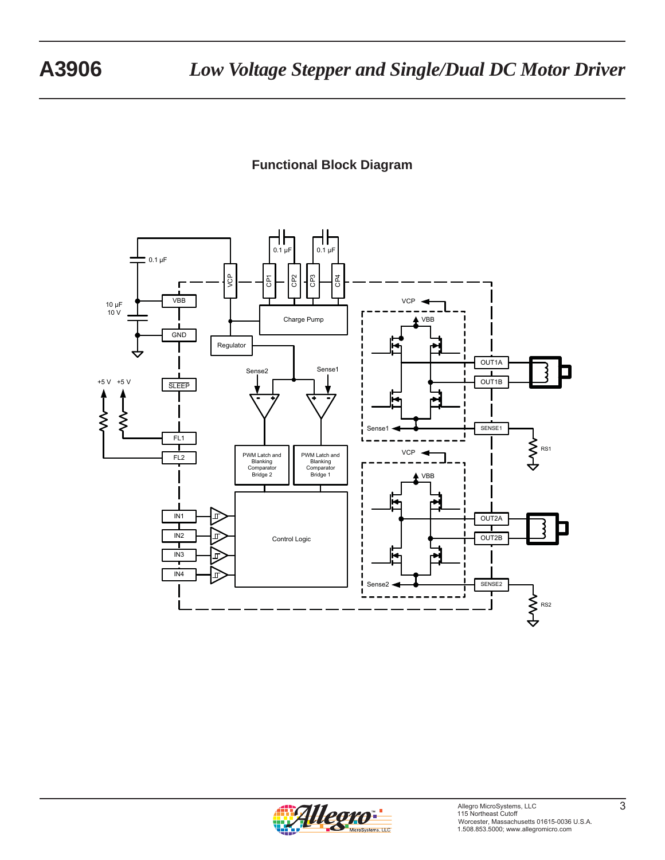## **Functional Block Diagram**



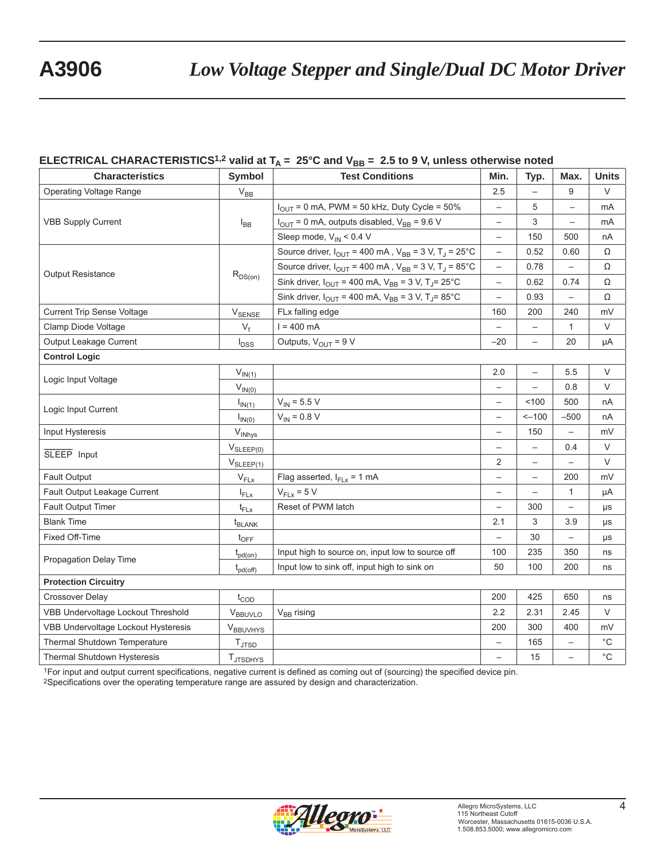## **ELECTRICAL CHARACTERISTICS<sup>1,2</sup> valid at T<sub>A</sub> = 25°C and V<sub>BB</sub> = 2.5 to 9 V, unless otherwise noted**

| <b>Characteristics</b>              | <b>Symbol</b>               | <b>Test Conditions</b>                                                                 | Min.                     | Typ.                     | Max.                     | <b>Units</b> |
|-------------------------------------|-----------------------------|----------------------------------------------------------------------------------------|--------------------------|--------------------------|--------------------------|--------------|
| <b>Operating Voltage Range</b>      | $V_{BB}$                    |                                                                                        | 2.5                      |                          | 9                        | $\vee$       |
|                                     |                             | $I_{\text{OUT}}$ = 0 mA, PWM = 50 kHz, Duty Cycle = 50%                                | $\overline{\phantom{0}}$ | 5                        |                          | mA           |
| <b>VBB Supply Current</b>           | $I_{BB}$                    | $I_{\text{OUT}}$ = 0 mA, outputs disabled, $V_{\text{BB}}$ = 9.6 V                     | $\qquad \qquad -$        | 3                        |                          | mA           |
|                                     |                             | Sleep mode, $V_{IN}$ < 0.4 V                                                           | $\qquad \qquad -$        | 150                      | 500                      | nA           |
|                                     |                             | Source driver, $I_{\text{OUT}}$ = 400 mA, $V_{\text{BB}}$ = 3 V, T <sub>J</sub> = 25°C | $\qquad \qquad -$        | 0.52                     | 0.60                     | Ω            |
| <b>Output Resistance</b>            |                             | Source driver, $I_{\text{OUT}}$ = 400 mA, $V_{\text{BB}}$ = 3 V, T <sub>J</sub> = 85°C | $\qquad \qquad -$        | 0.78                     |                          | Ω            |
|                                     | $R_{DS(on)}$                | Sink driver, $I_{OUT}$ = 400 mA, $V_{BB}$ = 3 V, T <sub>J</sub> = 25°C                 | $\qquad \qquad -$        | 0.62                     | 0.74                     | Ω            |
|                                     |                             | Sink driver, $I_{\text{OUT}}$ = 400 mA, $V_{\text{BB}}$ = 3 V, T <sub>J</sub> =85°C    | $\qquad \qquad -$        | 0.93                     | $\overline{\phantom{0}}$ | Ω            |
| <b>Current Trip Sense Voltage</b>   | <b>V</b> SENSE              | FLx falling edge                                                                       | 160                      | 200                      | 240                      | mV           |
| Clamp Diode Voltage                 | $V_f$                       | $I = 400$ mA                                                                           | $\overline{\phantom{0}}$ |                          | $\mathbf{1}$             | V            |
| Output Leakage Current              | $I_{DSS}$                   | Outputs, $V_{OUT} = 9 V$                                                               | $-20$                    | $\overline{\phantom{0}}$ | 20                       | μA           |
| <b>Control Logic</b>                |                             |                                                                                        |                          |                          |                          |              |
| Logic Input Voltage                 | $V_{IN(1)}$                 |                                                                                        | 2.0                      | $\overline{\phantom{0}}$ | 5.5                      | $\vee$       |
|                                     | $V_{IN(0)}$                 |                                                                                        | $\overline{\phantom{0}}$ | $\overline{\phantom{0}}$ | 0.8                      | $\vee$       |
| Logic Input Current                 | $I_{IN(1)}$                 | $V_{IN}$ = 5.5 V                                                                       | $\overline{\phantom{0}}$ | 100                      | 500                      | nA           |
|                                     | $I_{IN(0)}$                 | $V_{IN} = 0.8 V$                                                                       | $\qquad \qquad -$        | $-100$                   | $-500$                   | nA           |
| Input Hysteresis                    | V <sub>INhys</sub>          |                                                                                        | $\overline{\phantom{m}}$ | 150                      | $\overline{\phantom{0}}$ | mV           |
| SLEEP Input                         | $V_{SLEEP(0)}$              |                                                                                        | $\qquad \qquad -$        |                          | 0.4                      | V            |
|                                     | $V_{SLEEP(1)}$              |                                                                                        | 2                        |                          |                          | $\vee$       |
| Fault Output                        | $V_{FLX}$                   | Flag asserted, $I_{FLx} = 1$ mA                                                        | $\qquad \qquad -$        | $\qquad \qquad -$        | 200                      | mV           |
| Fault Output Leakage Current        | $I_{FLX}$                   | $V_{FLx} = 5 V$                                                                        | $\qquad \qquad -$        | $\overline{\phantom{0}}$ | $\mathbf{1}$             | μA           |
| Fault Output Timer                  | $t_{FLx}$                   | Reset of PWM latch                                                                     | $\qquad \qquad -$        | 300                      |                          | μs           |
| <b>Blank Time</b>                   | t <sub>BLANK</sub>          |                                                                                        | 2.1                      | 3                        | 3.9                      | μs           |
| Fixed Off-Time                      | $t_{\text{OFF}}$            |                                                                                        | $\qquad \qquad -$        | 30                       | $\overline{\phantom{m}}$ | μs           |
| Propagation Delay Time              | $t_{pd(on)}$                | Input high to source on, input low to source off                                       | 100                      | 235                      | 350                      | ns           |
|                                     | $t_{\text{pd}(\text{off})}$ | Input low to sink off, input high to sink on                                           | 50                       | 100                      | 200                      | ns           |
| <b>Protection Circuitry</b>         |                             |                                                                                        |                          |                          |                          |              |
| <b>Crossover Delay</b>              | $t_{\text{COD}}$            |                                                                                        | 200                      | 425                      | 650                      | ns           |
| VBB Undervoltage Lockout Threshold  | $V_{BBUVLO}$                | $V_{BB}$ rising                                                                        | 2.2                      | 2.31                     | 2.45                     | V            |
| VBB Undervoltage Lockout Hysteresis | VBBUVHYS                    |                                                                                        | 200                      | 300                      | 400                      | mV           |
| Thermal Shutdown Temperature        | $T_{\text{JTSD}}$           |                                                                                        |                          | 165                      |                          | $^{\circ}$ C |
| Thermal Shutdown Hysteresis         | T <sub>JTSDHYS</sub>        |                                                                                        | $\qquad \qquad -$        | 15                       | $\overline{\phantom{0}}$ | $^{\circ}$ C |

1For input and output current specifications, negative current is defined as coming out of (sourcing) the specified device pin.

2Specifications over the operating temperature range are assured by design and characterization.

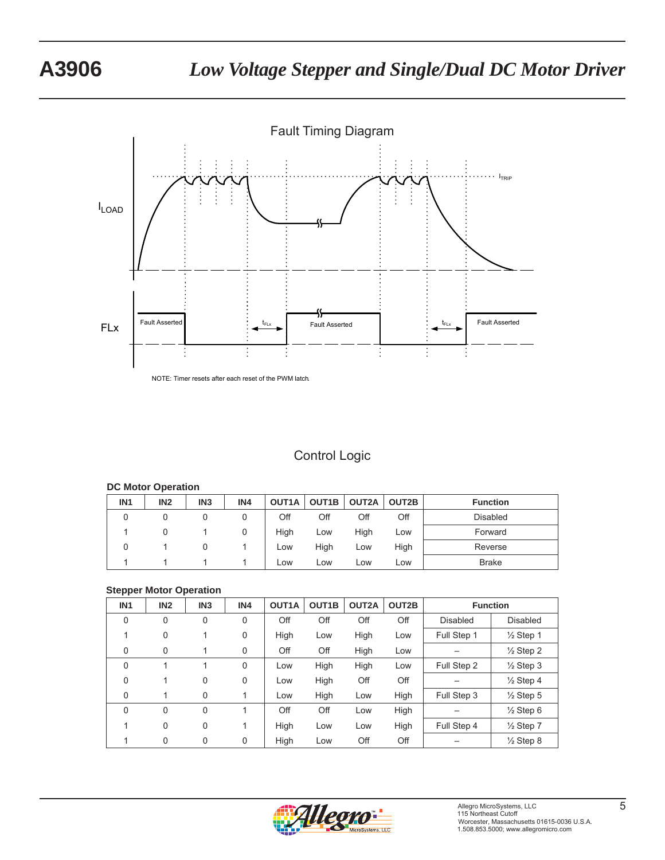

NOTE: Timer resets after each reset of the PWM latch.

## Control Logic

#### **DC Motor Operation**

| IN <sub>1</sub> | IN <sub>2</sub> | IN <sub>3</sub> | IN4 |      | OUT1A   OUT1B   OUT2A |      | OUT2B | <b>Function</b> |
|-----------------|-----------------|-----------------|-----|------|-----------------------|------|-------|-----------------|
| 0               |                 |                 |     | Off  | Off                   | Off  | Off   | <b>Disabled</b> |
|                 |                 |                 |     | High | Low                   | High | Low   | Forward         |
| 0               |                 |                 |     | Low  | High                  | Low  | High  | Reverse         |
|                 |                 |                 |     | Low  | Low                   | Low  | Low   | <b>Brake</b>    |

#### **Stepper Motor Operation**

| IN <sub>1</sub> | IN <sub>2</sub> | IN <sub>3</sub> | IN4         | OUT1A | OUT <sub>1</sub> B | OUT2A | OUT2B | <b>Function</b> |                      |
|-----------------|-----------------|-----------------|-------------|-------|--------------------|-------|-------|-----------------|----------------------|
| $\Omega$        | $\mathbf 0$     | $\mathbf 0$     | $\mathbf 0$ | Off   | Off                | Off   | Off   | <b>Disabled</b> | <b>Disabled</b>      |
|                 | 0               |                 | 0           | High  | Low                | High  | Low   | Full Step 1     | $\frac{1}{2}$ Step 1 |
| 0               | $\Omega$        |                 | 0           | Off   | Off                | High  | Low   |                 | $\frac{1}{2}$ Step 2 |
| $\mathbf{0}$    |                 |                 | $\Omega$    | Low   | High               | High  | Low   | Full Step 2     | $\frac{1}{2}$ Step 3 |
| $\Omega$        |                 | 0               | 0           | Low   | High               | Off   | Off   |                 | $\frac{1}{2}$ Step 4 |
| 0               |                 | 0               |             | Low   | High               | Low   | High  | Full Step 3     | $\frac{1}{2}$ Step 5 |
| $\Omega$        | $\Omega$        | $\mathbf 0$     |             | Off   | Off                | Low   | High  |                 | $\frac{1}{2}$ Step 6 |
|                 | $\Omega$        | 0               |             | High  | Low                | Low   | High  | Full Step 4     | $\frac{1}{2}$ Step 7 |
|                 | 0               | 0               | 0           | High  | Low                | Off   | Off   |                 | $\frac{1}{2}$ Step 8 |

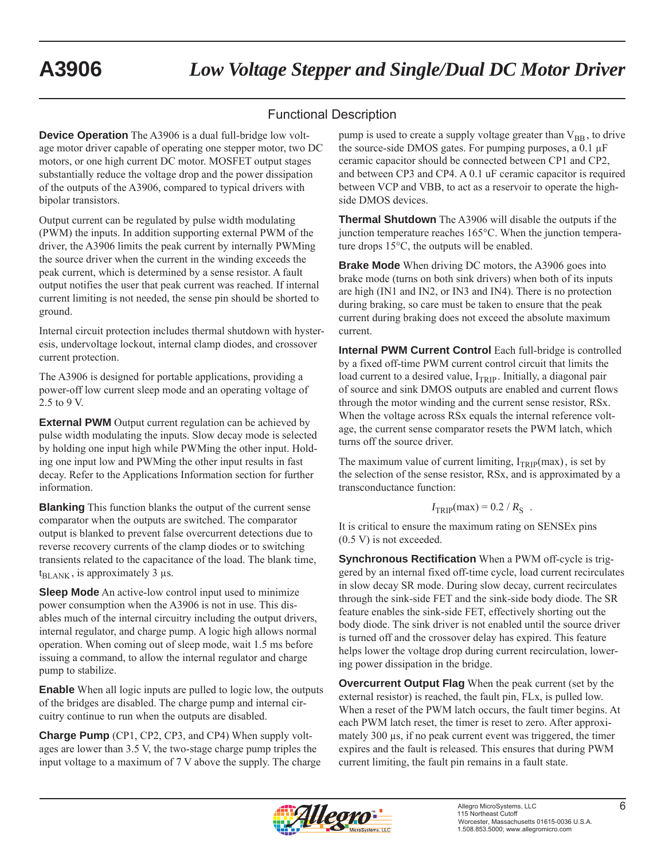## Functional Description

**Device Operation** The A3906 is a dual full-bridge low voltage motor driver capable of operating one stepper motor, two DC motors, or one high current DC motor. MOSFET output stages substantially reduce the voltage drop and the power dissipation of the outputs of the A3906, compared to typical drivers with bipolar transistors.

Output current can be regulated by pulse width modulating (PWM) the inputs. In addition supporting external PWM of the driver, the A3906 limits the peak current by internally PWMing the source driver when the current in the winding exceeds the peak current, which is determined by a sense resistor. A fault output notifies the user that peak current was reached. If internal current limiting is not needed, the sense pin should be shorted to ground.

Internal circuit protection includes thermal shutdown with hysteresis, undervoltage lockout, internal clamp diodes, and crossover current protection.

The A3906 is designed for portable applications, providing a power-off low current sleep mode and an operating voltage of 2.5 to 9 V.

**External PWM** Output current regulation can be achieved by pulse width modulating the inputs. Slow decay mode is selected by holding one input high while PWMing the other input. Holding one input low and PWMing the other input results in fast decay. Refer to the Applications Information section for further information.

**Blanking** This function blanks the output of the current sense comparator when the outputs are switched. The comparator output is blanked to prevent false overcurrent detections due to reverse recovery currents of the clamp diodes or to switching transients related to the capacitance of the load. The blank time,  $t_{BLANK}$ , is approximately 3 μs.

**Sleep Mode** An active-low control input used to minimize power consumption when the A3906 is not in use. This disables much of the internal circuitry including the output drivers, internal regulator, and charge pump. A logic high allows normal operation. When coming out of sleep mode, wait 1.5 ms before issuing a command, to allow the internal regulator and charge pump to stabilize.

**Enable** When all logic inputs are pulled to logic low, the outputs of the bridges are disabled. The charge pump and internal circuitry continue to run when the outputs are disabled.

**Charge Pump** (CP1, CP2, CP3, and CP4) When supply voltages are lower than 3.5 V, the two-stage charge pump triples the input voltage to a maximum of 7 V above the supply. The charge pump is used to create a supply voltage greater than  $V_{BB}$ , to drive the source-side DMOS gates. For pumping purposes, a 0.1 μF ceramic capacitor should be connected between CP1 and CP2, and between CP3 and CP4. A 0.1 uF ceramic capacitor is required between VCP and VBB, to act as a reservoir to operate the highside DMOS devices.

**Thermal Shutdown** The A3906 will disable the outputs if the junction temperature reaches 165°C. When the junction temperature drops 15°C, the outputs will be enabled.

**Brake Mode** When driving DC motors, the A3906 goes into brake mode (turns on both sink drivers) when both of its inputs are high (IN1 and IN2, or IN3 and IN4). There is no protection during braking, so care must be taken to ensure that the peak current during braking does not exceed the absolute maximum current.

**Internal PWM Current Control** Each full-bridge is controlled by a fixed off-time PWM current control circuit that limits the load current to a desired value,  $I_{TRIP}$ . Initially, a diagonal pair of source and sink DMOS outputs are enabled and current flows through the motor winding and the current sense resistor, RSx. When the voltage across RSx equals the internal reference voltage, the current sense comparator resets the PWM latch, which turns off the source driver.

The maximum value of current limiting,  $I_{TRIP}(max)$ , is set by the selection of the sense resistor, RSx, and is approximated by a transconductance function:

$$
I_{\text{TRIP}}(\text{max}) = 0.2 / R_{\text{S}}.
$$

It is critical to ensure the maximum rating on SENSEx pins (0.5 V) is not exceeded.

**Synchronous Rectification** When a PWM off-cycle is triggered by an internal fixed off-time cycle, load current recirculates in slow decay SR mode. During slow decay, current recirculates through the sink-side FET and the sink-side body diode. The SR feature enables the sink-side FET, effectively shorting out the body diode. The sink driver is not enabled until the source driver is turned off and the crossover delay has expired. This feature helps lower the voltage drop during current recirculation, lowering power dissipation in the bridge.

**Overcurrent Output Flag** When the peak current (set by the external resistor) is reached, the fault pin, FLx, is pulled low. When a reset of the PWM latch occurs, the fault timer begins. At each PWM latch reset, the timer is reset to zero. After approximately 300 μs, if no peak current event was triggered, the timer expires and the fault is released. This ensures that during PWM current limiting, the fault pin remains in a fault state.

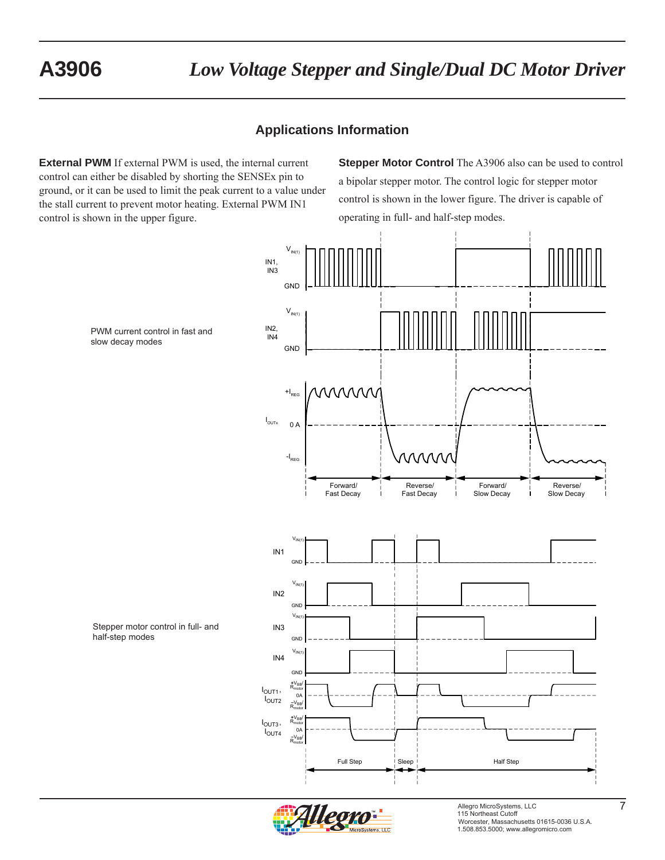## **Applications Information**

**External PWM** If external PWM is used, the internal current control can either be disabled by shorting the SENSEx pin to ground, or it can be used to limit the peak current to a value under the stall current to prevent motor heating. External PWM IN1 control is shown in the upper figure.

**Stepper Motor Control** The A3906 also can be used to control a bipolar stepper motor. The control logic for stepper motor control is shown in the lower figure. The driver is capable of operating in full- and half-step modes.





Allegro MicroSystems, LLC<br>115 Northeast Cutoff Worcester, Massachusetts 01615-0036 U.S.A. 1.508.853.5000; www.allegromicro.com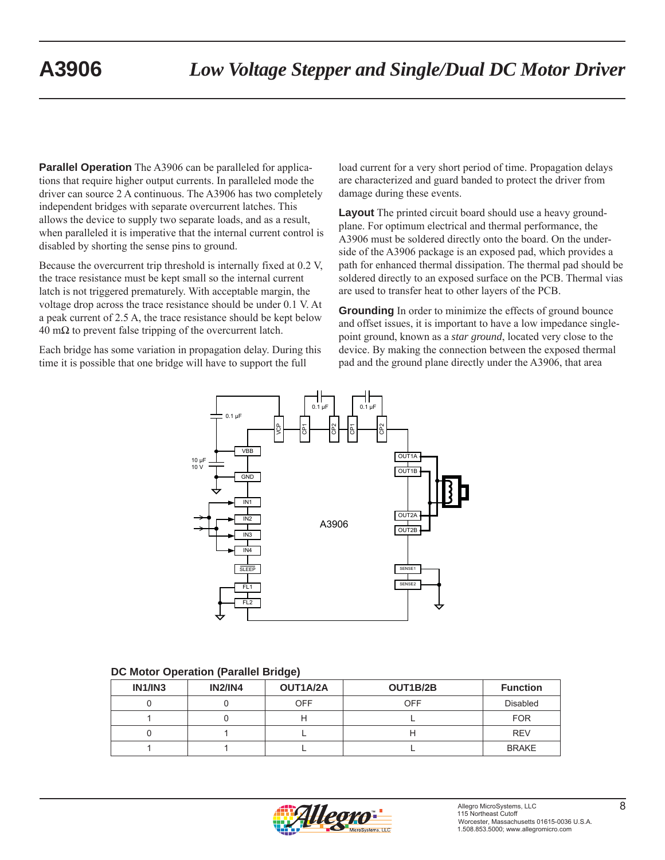**Parallel Operation** The A3906 can be paralleled for applications that require higher output currents. In paralleled mode the driver can source 2 A continuous. The A3906 has two completely independent bridges with separate overcurrent latches. This allows the device to supply two separate loads, and as a result, when paralleled it is imperative that the internal current control is disabled by shorting the sense pins to ground.

Because the overcurrent trip threshold is internally fixed at 0.2 V, the trace resistance must be kept small so the internal current latch is not triggered prematurely. With acceptable margin, the voltage drop across the trace resistance should be under 0.1 V. At a peak current of 2.5 A, the trace resistance should be kept below  $40 \text{ m}\Omega$  to prevent false tripping of the overcurrent latch.

Each bridge has some variation in propagation delay. During this time it is possible that one bridge will have to support the full

load current for a very short period of time. Propagation delays are characterized and guard banded to protect the driver from damage during these events.

**Layout** The printed circuit board should use a heavy groundplane. For optimum electrical and thermal performance, the A3906 must be soldered directly onto the board. On the underside of the A3906 package is an exposed pad, which provides a path for enhanced thermal dissipation. The thermal pad should be soldered directly to an exposed surface on the PCB. Thermal vias are used to transfer heat to other layers of the PCB.

**Grounding** In order to minimize the effects of ground bounce and offset issues, it is important to have a low impedance singlepoint ground, known as a *star ground*, located very close to the device. By making the connection between the exposed thermal pad and the ground plane directly under the A3906, that area



#### **DC Motor Operation (Parallel Bridge)**

| IN1/IN3 | <b>IN2/IN4</b> | OUT1A/2A   | OUT1B/2B | <b>Function</b> |
|---------|----------------|------------|----------|-----------------|
|         |                | <b>OFF</b> | OFF      | <b>Disabled</b> |
|         |                |            |          | <b>FOR</b>      |
|         |                |            |          | <b>REV</b>      |
|         |                |            |          | <b>BRAKE</b>    |

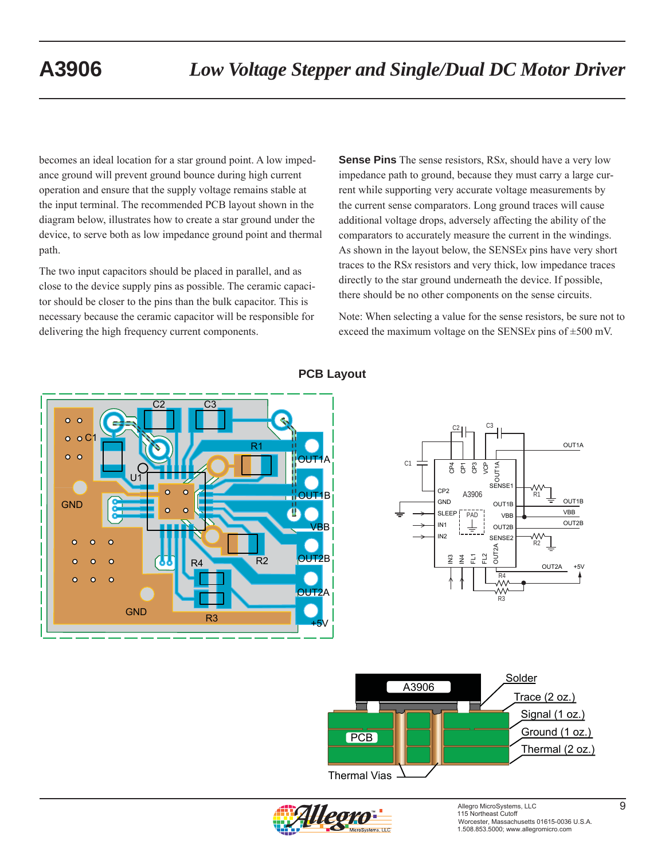becomes an ideal location for a star ground point. A low impedance ground will prevent ground bounce during high current operation and ensure that the supply voltage remains stable at the input terminal. The recommended PCB layout shown in the diagram below, illustrates how to create a star ground under the device, to serve both as low impedance ground point and thermal path.

The two input capacitors should be placed in parallel, and as close to the device supply pins as possible. The ceramic capacitor should be closer to the pins than the bulk capacitor. This is necessary because the ceramic capacitor will be responsible for delivering the high frequency current components.

**Sense Pins** The sense resistors, RS*x*, should have a very low impedance path to ground, because they must carry a large current while supporting very accurate voltage measurements by the current sense comparators. Long ground traces will cause additional voltage drops, adversely affecting the ability of the comparators to accurately measure the current in the windings. As shown in the layout below, the SENSE*x* pins have very short traces to the RS*x* resistors and very thick, low impedance traces directly to the star ground underneath the device. If possible, there should be no other components on the sense circuits.

Note: When selecting a value for the sense resistors, be sure not to exceed the maximum voltage on the SENSE*x* pins of ±500 mV.



## **PCB Layout**